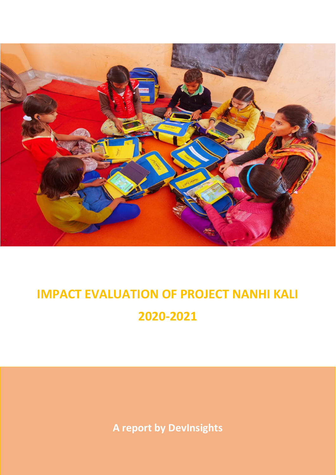

# **IMPACT EVALUATION OF PROJECT NANHI KALI 2020-2021**

**A report by DevInsights**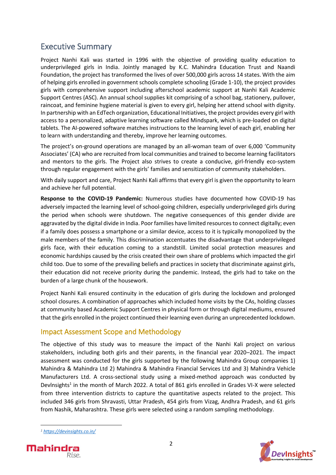## Executive Summary

Project Nanhi Kali was started in 1996 with the objective of providing quality education to underprivileged girls in India. Jointly managed by K.C. Mahindra Education Trust and Naandi Foundation, the project has transformed the lives of over 500,000 girls across 14 states. With the aim of helping girls enrolled in government schools complete schooling (Grade 1-10), the project provides girls with comprehensive support including afterschool academic support at Nanhi Kali Academic Support Centres (ASC). An annual school supplies kit comprising of a school bag, stationery, pullover, raincoat, and feminine hygiene material is given to every girl, helping her attend school with dignity. In partnership with an EdTech organization, Educational Initiatives, the project provides every girl with access to a personalized, adaptive learning software called Mindspark, which is pre-loaded on digital tablets. The AI-powered software matches instructions to the learning level of each girl, enabling her to learn with understanding and thereby, improve her learning outcomes.

The project's on-ground operations are managed by an all-woman team of over 6,000 'Community Associates' (CA) who are recruited from local communities and trained to become learning facilitators and mentors to the girls. The Project also strives to create a conducive, girl-friendly eco-system through regular engagement with the girls' families and sensitization of community stakeholders.

With daily support and care, Project Nanhi Kali affirms that every girl is given the opportunity to learn and achieve her full potential.

**Response to the COVID-19 Pandemic:** Numerous studies have documented how COVID-19 has adversely impacted the learning level of school-going children, especially underprivileged girls during the period when schools were shutdown. The negative consequences of this gender divide are aggravated by the digital divide in India. Poor families have limited resources to connect digitally; even if a family does possess a smartphone or a similar device, access to it is typically monopolized by the male members of the family. This discrimination accentuates the disadvantage that underprivileged girls face, with their education coming to a standstill. Limited social protection measures and economic hardships caused by the crisis created their own share of problems which impacted the girl child too. Due to some of the prevailing beliefs and practices in society that discriminate against girls, their education did not receive priority during the pandemic. Instead, the girls had to take on the burden of a large chunk of the housework.

Project Nanhi Kali ensured continuity in the education of girls during the lockdown and prolonged school closures. A combination of approaches which included home visits by the CAs, holding classes at community based Academic Support Centres in physical form or through digital mediums, ensured that the girls enrolled in the project continued their learning even during an unprecedented lockdown.

## Impact Assessment Scope and Methodology

The objective of this study was to measure the impact of the Nanhi Kali project on various stakeholders, including both girls and their parents, in the financial year 2020–2021. The impact assessment was conducted for the girls supported by the following Mahindra Group companies 1) Mahindra & Mahindra Ltd 2) Mahindra & Mahindra Financial Services Ltd and 3) Mahindra Vehicle Manufacturers Ltd. A cross-sectional study using a mixed-method approach was conducted by Devlnsights<sup>1</sup> in the month of March 2022. A total of 861 girls enrolled in Grades VI-X were selected from three intervention districts to capture the quantitative aspects related to the project. This included 346 girls from Shravasti, Uttar Pradesh, 454 girls from Vizag, Andhra Pradesh, and 61 girls from Nashik, Maharashtra. These girls were selected using a random sampling methodology.

*<sup>1</sup> <https://devinsights.co.in/>*



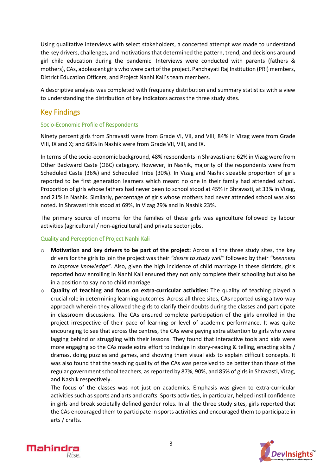Using qualitative interviews with select stakeholders, a concerted attempt was made to understand the key drivers, challenges, and motivations that determined the pattern, trend, and decisions around girl child education during the pandemic. Interviews were conducted with parents (fathers & mothers), CAs, adolescent girls who were part of the project, Panchayati Raj Institution (PRI) members, District Education Officers, and Project Nanhi Kali's team members.

A descriptive analysis was completed with frequency distribution and summary statistics with a view to understanding the distribution of key indicators across the three study sites.

## Key Findings

#### Socio-Economic Profile of Respondents

Ninety percent girls from Shravasti were from Grade VI, VII, and VIII; 84% in Vizag were from Grade VIII, IX and X; and 68% in Nashik were from Grade VII, VIII, and IX.

In terms of the socio-economic background, 48% respondents in Shravasti and 62% in Vizag were from Other Backward Caste (OBC) category. However, in Nashik, majority of the respondents were from Scheduled Caste (36%) and Scheduled Tribe (30%). In Vizag and Nashik sizeable proportion of girls reported to be first generation learners which meant no one in their family had attended school. Proportion of girls whose fathers had never been to school stood at 45% in Shravasti, at 33% in Vizag, and 21% in Nashik. Similarly, percentage of girls whose mothers had never attended school was also noted. In Shravasti this stood at 69%, in Vizag 29% and in Nashik 23%.

The primary source of income for the families of these girls was agriculture followed by labour activities (agricultural / non-agricultural) and private sector jobs.

#### Quality and Perception of Project Nanhi Kali

- o **Motivation and key drivers to be part of the project:** Across all the three study sites, the key drivers for the girls to join the project was their *"desire to study well"* followed by their *"keenness to improve knowledge".* Also, given the high incidence of child marriage in these districts, girls reported how enrolling in Nanhi Kali ensured they not only complete their schooling but also be in a position to say no to child marriage.
- o **Quality of teaching and focus on extra-curricular activities:** The quality of teaching played a crucial role in determining learning outcomes. Across all three sites, CAs reported using a two-way approach wherein they allowed the girls to clarify their doubts during the classes and participate in classroom discussions. The CAs ensured complete participation of the girls enrolled in the project irrespective of their pace of learning or level of academic performance. It was quite encouraging to see that across the centres, the CAs were paying extra attention to girls who were lagging behind or struggling with their lessons. They found that interactive tools and aids were more engaging so the CAs made extra effort to indulge in story-reading & telling, enacting skits / dramas, doing puzzles and games, and showing them visual aids to explain difficult concepts. It was also found that the teaching quality of the CAs was perceived to be better than those of the regular government school teachers, as reported by 87%, 90%, and 85% of girls in Shravasti, Vizag, and Nashik respectively.

The focus of the classes was not just on academics. Emphasis was given to extra-curricular activities such as sports and arts and crafts. Sports activities, in particular, helped instil confidence in girls and break societally defined gender roles. In all the three study sites, girls reported that the CAs encouraged them to participate in sports activities and encouraged them to participate in arts / crafts.



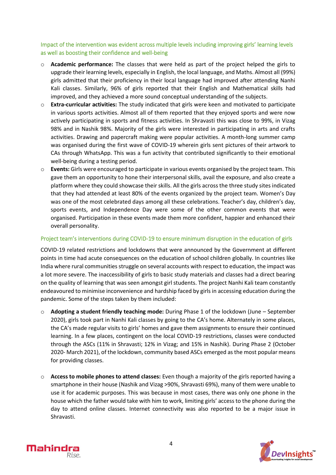Impact of the intervention was evident across multiple levels including improving girls' learning levels as well as boosting their confidence and well-being

- o **Academic performance:** The classes that were held as part of the project helped the girls to upgrade their learning levels, especially in English, the local language, and Maths. Almost all (99%) girls admitted that their proficiency in their local language had improved after attending Nanhi Kali classes. Similarly, 96% of girls reported that their English and Mathematical skills had improved, and they achieved a more sound conceptual understanding of the subjects.
- o **Extra-curricular activities:** The study indicated that girls were keen and motivated to participate in various sports activities. Almost all of them reported that they enjoyed sports and were now actively participating in sports and fitness activities. In Shravasti this was close to 99%, in Vizag 98% and in Nashik 98%. Majority of the girls were interested in participating in arts and crafts activities. Drawing and papercraft making were popular activities. A month-long summer camp was organised during the first wave of COVID-19 wherein girls sent pictures of their artwork to CAs through WhatsApp. This was a fun activity that contributed significantly to their emotional well-being during a testing period.
- o **Events:** Girls were encouraged to participate in various events organised by the project team. This gave them an opportunity to hone their interpersonal skills, avail the exposure, and also create a platform where they could showcase their skills. All the girls across the three study sites indicated that they had attended at least 80% of the events organized by the project team. Women's Day was one of the most celebrated days among all these celebrations. Teacher's day, children's day, sports events, and Independence Day were some of the other common events that were organised. Participation in these events made them more confident, happier and enhanced their overall personality.

#### Project team's interventions during COVID-19 to ensure minimum disruption in the education of girls

COVID-19 related restrictions and lockdowns that were announced by the Government at different points in time had acute consequences on the education of school children globally. In countries like India where rural communities struggle on several accounts with respect to education, the impact was a lot more severe. The inaccessibility of girls to basic study materials and classes had a direct bearing on the quality of learning that was seen amongst girl students. The project Nanhi Kali team constantly endeavoured to minimise inconvenience and hardship faced by girls in accessing education during the pandemic. Some of the steps taken by them included:

- o **Adopting a student friendly teaching mode:** During Phase 1 of the lockdown (June September 2020), girls took part in Nanhi Kali classes by going to the CA's home. Alternately in some places, the CA's made regular visits to girls' homes and gave them assignments to ensure their continued learning. In a few places, contingent on the local COVID-19 restrictions, classes were conducted through the ASCs (11% in Shravasti; 12% in Vizag; and 15% in Nashik). During Phase 2 (October 2020- March 2021), of the lockdown, community based ASCs emerged as the most popular means for providing classes.
- o **Access to mobile phones to attend classes:** Even though a majority of the girls reported having a smartphone in their house (Nashik and Vizag >90%, Shravasti 69%), many of them were unable to use it for academic purposes. This was because in most cases, there was only one phone in the house which the father would take with him to work, limiting girls' access to the phone during the day to attend online classes. Internet connectivity was also reported to be a major issue in Shravasti.



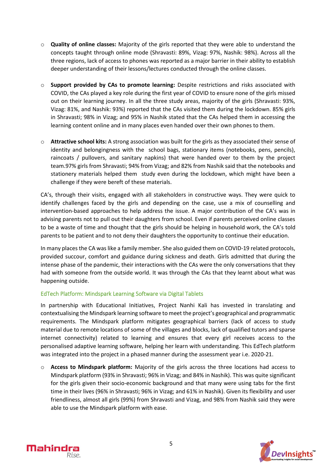- o **Quality of online classes:** Majority of the girls reported that they were able to understand the concepts taught through online mode (Shravasti: 89%, Vizag: 97%, Nashik: 98%). Across all the three regions, lack of access to phones was reported as a major barrier in their ability to establish deeper understanding of their lessons/lectures conducted through the online classes.
- o **Support provided by CAs to promote learning:** Despite restrictions and risks associated with COVID, the CAs played a key role during the first year of COVID to ensure none of the girls missed out on their learning journey. In all the three study areas, majority of the girls (Shravasti: 93%, Vizag: 81%, and Nashik: 93%) reported that the CAs visited them during the lockdown. 85% girls in Shravasti; 98% in Vizag; and 95% in Nashik stated that the CAs helped them in accessing the learning content online and in many places even handed over their own phones to them.
- o **Attractive school kits:** A strong association was built for the girls as they associated their sense of identity and belongingness with the school bags, stationary items (notebooks, pens, pencils), raincoats / pullovers, and sanitary napkins) that were handed over to them by the project team.97% girls from Shravasti; 94% from Vizag; and 82% from Nashik said that the notebooks and stationery materials helped them study even during the lockdown, which might have been a challenge if they were bereft of these materials.

CA's, through their visits, engaged with all stakeholders in constructive ways. They were quick to identify challenges faced by the girls and depending on the case, use a mix of counselling and intervention-based approaches to help address the issue. A major contribution of the CA's was in advising parents not to pull out their daughters from school. Even if parents perceived online classes to be a waste of time and thought that the girls should be helping in household work, the CA's told parents to be patient and to not deny their daughters the opportunity to continue their education.

In many places the CA was like a family member. She also guided them on COVID-19 related protocols, provided succour, comfort and guidance during sickness and death. Girls admitted that during the intense phase of the pandemic, their interactions with the CAs were the only conversations that they had with someone from the outside world. It was through the CAs that they learnt about what was happening outside.

#### EdTech Platform: Mindspark Learning Software via Digital Tablets

In partnership with Educational Initiatives, Project Nanhi Kali has invested in translating and contextualising the Mindspark learning software to meet the project's geographical and programmatic requirements. The Mindspark platform mitigates geographical barriers (lack of access to study material due to remote locations of some of the villages and blocks, lack of qualified tutors and sparse internet connectivity) related to learning and ensures that every girl receives access to the personalised adaptive learning software, helping her learn with understanding. This EdTech platform was integrated into the project in a phased manner during the assessment year i.e. 2020-21.

o **Access to Mindspark platform:** Majority of the girls across the three locations had access to Mindspark platform (93% in Shravasti; 96% in Vizag; and 84% in Nashik). This was quite significant for the girls given their socio-economic background and that many were using tabs for the first time in their lives (96% in Shravasti; 96% in Vizag; and 61% in Nashik). Given its flexibility and user friendliness, almost all girls (99%) from Shravasti and Vizag, and 98% from Nashik said they were able to use the Mindspark platform with ease.



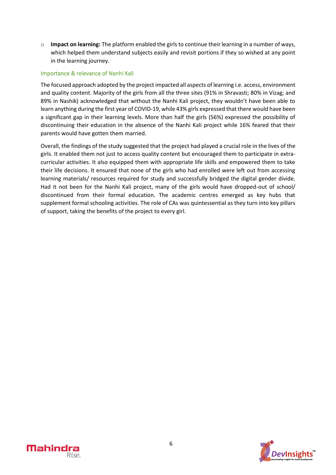o **Impact on learning:** The platform enabled the girls to continue their learning in a number of ways, which helped them understand subjects easily and revisit portions if they so wished at any point in the learning journey.

#### Importance & relevance of Nanhi Kali

The focused approach adopted by the project impacted all aspects of learning i.e. access, environment and quality content. Majority of the girls from all the three sites (91% in Shravasti; 80% in Vizag; and 89% in Nashik) acknowledged that without the Nanhi Kali project, they wouldn't have been able to learn anything during the first year of COVID-19, while 43% girls expressed that there would have been a significant gap in their learning levels. More than half the girls (56%) expressed the possibility of discontinuing their education in the absence of the Nanhi Kali project while 16% feared that their parents would have gotten them married.

Overall, the findings of the study suggested that the project had played a crucial role in the lives of the girls. It enabled them not just to access quality content but encouraged them to participate in extracurricular activities. It also equipped them with appropriate life skills and empowered them to take their life decisions. It ensured that none of the girls who had enrolled were left out from accessing learning materials/ resources required for study and successfully bridged the digital gender divide. Had it not been for the Nanhi Kali project, many of the girls would have dropped-out of school/ discontinued from their formal education. The academic centres emerged as key hubs that supplement formal schooling activities. The role of CAs was quintessential as they turn into key pillars of support, taking the benefits of the project to every girl.



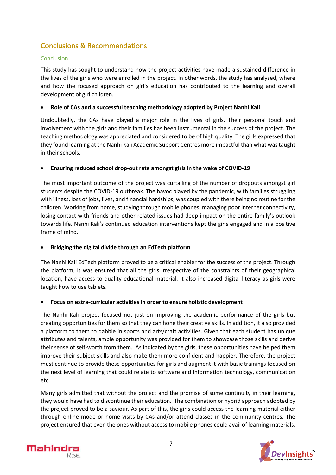## Conclusions & Recommendations

#### Conclusion

This study has sought to understand how the project activities have made a sustained difference in the lives of the girls who were enrolled in the project. In other words, the study has analysed, where and how the focused approach on girl's education has contributed to the learning and overall development of girl children.

#### • **Role of CAs and a successful teaching methodology adopted by Project Nanhi Kali**

Undoubtedly, the CAs have played a major role in the lives of girls. Their personal touch and involvement with the girls and their families has been instrumental in the success of the project. The teaching methodology was appreciated and considered to be of high quality. The girls expressed that they found learning at the Nanhi Kali Academic Support Centres more impactful than what wastaught in their schools.

#### • **Ensuring reduced school drop-out rate amongst girls in the wake of COVID-19**

The most important outcome of the project was curtailing of the number of dropouts amongst girl students despite the COVID-19 outbreak. The havoc played by the pandemic, with families struggling with illness, loss of jobs, lives, and financial hardships, was coupled with there being no routine for the children. Working from home, studying through mobile phones, managing poor internet connectivity, losing contact with friends and other related issues had deep impact on the entire family's outlook towards life. Nanhi Kali's continued education interventions kept the girls engaged and in a positive frame of mind.

#### • **Bridging the digital divide through an EdTech platform**

The Nanhi Kali EdTech platform proved to be a critical enabler for the success of the project. Through the platform, it was ensured that all the girls irrespective of the constraints of their geographical location, have access to quality educational material. It also increased digital literacy as girls were taught how to use tablets.

#### • **Focus on extra-curricular activities in order to ensure holistic development**

The Nanhi Kali project focused not just on improving the academic performance of the girls but creating opportunities for them so that they can hone their creative skills. In addition, it also provided a platform to them to dabble in sports and arts/craft activities. Given that each student has unique attributes and talents, ample opportunity was provided for them to showcase those skills and derive their sense of self-worth from them. As indicated by the girls, these opportunities have helped them improve their subject skills and also make them more confident and happier. Therefore, the project must continue to provide these opportunities for girls and augment it with basic trainings focused on the next level of learning that could relate to software and information technology, communication etc.

Many girls admitted that without the project and the promise of some continuity in their learning, they would have had to discontinue their education. The combination or hybrid approach adopted by the project proved to be a saviour. As part of this, the girls could access the learning material either through online mode or home visits by CAs and/or attend classes in the community centres. The project ensured that even the ones without access to mobile phones could avail of learning materials.